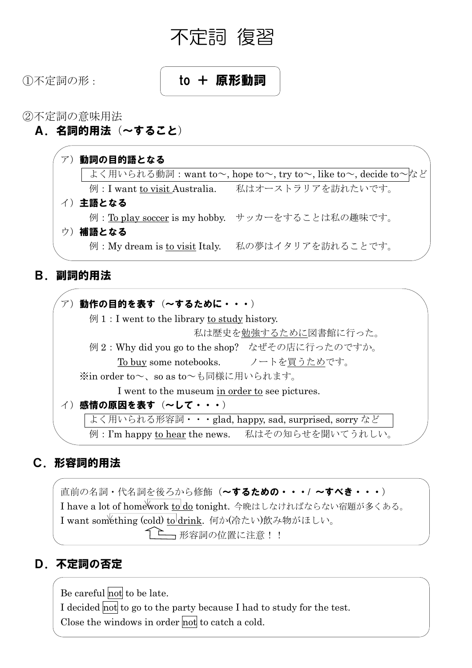

# ①不定詞の形: **to + 原形動詞**

②不定詞の意味用法

A.名詞的用法(~すること)



## B.副詞的用法



## C.形容詞的用法

直前の名詞・代名詞を後ろから修飾(~するための・・・/ ~すべき・・・) I have a lot of homework to do tonight. 今晩はしなければならない宿題が多くある。 I want something (cold) to drink. 何か(冷たい)飲み物がほしい。 形容詞の位置に注意!!

## D.不定詞の否定

Be careful not to be late. I decided not to go to the party because I had to study for the test. Close the windows in order not to catch a cold.